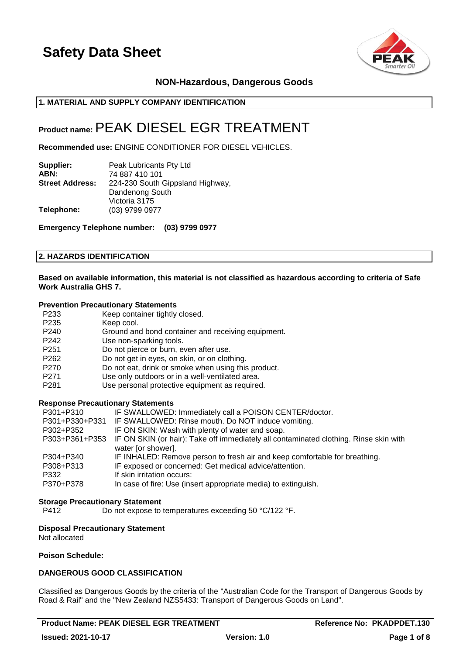

# **NON-Hazardous, Dangerous Goods**

# **1. MATERIAL AND SUPPLY COMPANY IDENTIFICATION**

# **Product name:**PEAK DIESEL EGR TREATMENT

**Recommended use:** ENGINE CONDITIONER FOR DIESEL VEHICLES.

| Supplier:              | Peak Lubricants Pty Ltd          |
|------------------------|----------------------------------|
| ABN:                   | 74 887 410 101                   |
| <b>Street Address:</b> | 224-230 South Gippsland Highway, |
|                        | Dandenong South                  |
|                        | Victoria 3175                    |
| Telephone:             | (03) 9799 0977                   |

**Emergency Telephone number: (03) 9799 0977**

### **2. HAZARDS IDENTIFICATION**

### **Based on available information, this material is not classified as hazardous according to criteria of Safe Work Australia GHS 7.**

#### **Prevention Precautionary Statements**

| P <sub>233</sub> | Keep container tightly closed.                      |
|------------------|-----------------------------------------------------|
| P <sub>235</sub> | Keep cool.                                          |
| P <sub>240</sub> | Ground and bond container and receiving equipment.  |
| P <sub>242</sub> | Use non-sparking tools.                             |
| P <sub>251</sub> | Do not pierce or burn, even after use.              |
| P <sub>262</sub> | Do not get in eyes, on skin, or on clothing.        |
| P <sub>270</sub> | Do not eat, drink or smoke when using this product. |
| P <sub>271</sub> | Use only outdoors or in a well-ventilated area.     |
| P <sub>281</sub> | Use personal protective equipment as required.      |

### **Response Precautionary Statements**

| P301+P310      | IF SWALLOWED: Immediately call a POISON CENTER/doctor.                                |
|----------------|---------------------------------------------------------------------------------------|
| P301+P330+P331 | IF SWALLOWED: Rinse mouth. Do NOT induce vomiting.                                    |
| P302+P352      | IF ON SKIN: Wash with plenty of water and soap.                                       |
| P303+P361+P353 | IF ON SKIN (or hair): Take off immediately all contaminated clothing. Rinse skin with |
|                | water [or shower].                                                                    |
| P304+P340      | IF INHALED: Remove person to fresh air and keep comfortable for breathing.            |
| P308+P313      | IF exposed or concerned: Get medical advice/attention.                                |
| P332           | If skin irritation occurs:                                                            |
| P370+P378      | In case of fire: Use (insert appropriate media) to extinguish.                        |
|                |                                                                                       |

### **Storage Precautionary Statement**

P412 Do not expose to temperatures exceeding 50 °C/122 °F.

### **Disposal Precautionary Statement**

Not allocated

### **Poison Schedule:**

# **DANGEROUS GOOD CLASSIFICATION**

Classified as Dangerous Goods by the criteria of the "Australian Code for the Transport of Dangerous Goods by Road & Rail" and the "New Zealand NZS5433: Transport of Dangerous Goods on Land".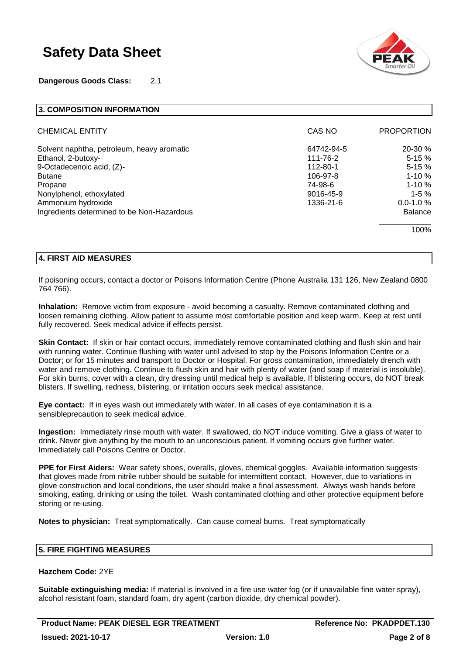**Dangerous Goods Class:** 2.1



| 3. COMPOSITION INFORMATION                 |            |                   |
|--------------------------------------------|------------|-------------------|
| <b>CHEMICAL ENTITY</b>                     | CAS NO     | <b>PROPORTION</b> |
| Solvent naphtha, petroleum, heavy aromatic | 64742-94-5 | $20-30%$          |
| Ethanol, 2-butoxy-                         | 111-76-2   | $5-15%$           |
| 9-Octadecenoic acid, (Z)-                  | 112-80-1   | $5 - 15%$         |
| <b>Butane</b>                              | 106-97-8   | $1 - 10 \%$       |
| Propane                                    | 74-98-6    | $1 - 10%$         |
| Nonylphenol, ethoxylated                   | 9016-45-9  | $1-5%$            |
| Ammonium hydroxide                         | 1336-21-6  | $0.0 - 1.0 %$     |
| Ingredients determined to be Non-Hazardous |            | <b>Balance</b>    |
|                                            |            | 100%              |

## **4. FIRST AID MEASURES**

If poisoning occurs, contact a doctor or Poisons Information Centre (Phone Australia 131 126, New Zealand 0800 764 766).

**Inhalation:** Remove victim from exposure - avoid becoming a casualty. Remove contaminated clothing and loosen remaining clothing. Allow patient to assume most comfortable position and keep warm. Keep at rest until fully recovered. Seek medical advice if effects persist.

**Skin Contact:** If skin or hair contact occurs, immediately remove contaminated clothing and flush skin and hair with running water. Continue flushing with water until advised to stop by the Poisons Information Centre or a Doctor; or for 15 minutes and transport to Doctor or Hospital. For gross contamination, immediately drench with water and remove clothing. Continue to flush skin and hair with plenty of water (and soap if material is insoluble). For skin burns, cover with a clean, dry dressing until medical help is available. If blistering occurs, do NOT break blisters. If swelling, redness, blistering, or irritation occurs seek medical assistance.

**Eye contact:** If in eyes wash out immediately with water. In all cases of eye contamination it is a sensibleprecaution to seek medical advice.

**Ingestion:** Immediately rinse mouth with water. If swallowed, do NOT induce vomiting. Give a glass of water to drink. Never give anything by the mouth to an unconscious patient. If vomiting occurs give further water. Immediately call Poisons Centre or Doctor.

**PPE for First Aiders:** Wear safety shoes, overalls, gloves, chemical goggles. Available information suggests that gloves made from nitrile rubber should be suitable for intermittent contact. However, due to variations in glove construction and local conditions, the user should make a final assessment. Always wash hands before smoking, eating, drinking or using the toilet. Wash contaminated clothing and other protective equipment before storing or re-using.

**Notes to physician:** Treat symptomatically. Can cause corneal burns. Treat symptomatically

# **5. FIRE FIGHTING MEASURES**

### **Hazchem Code:** 2YE

**Suitable extinguishing media:** If material is involved in a fire use water fog (or if unavailable fine water spray), alcohol resistant foam, standard foam, dry agent (carbon dioxide, dry chemical powder).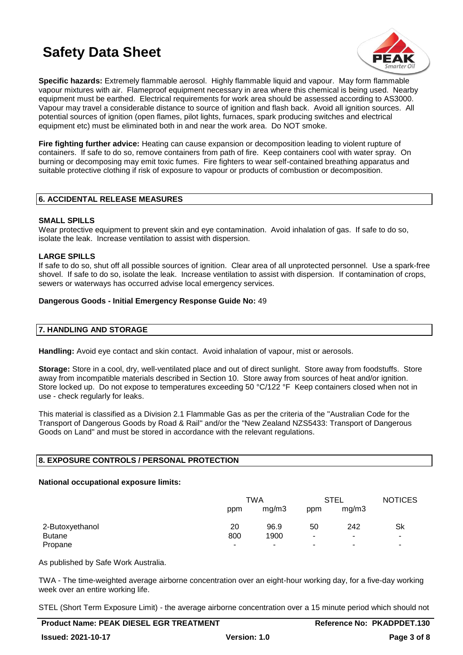

**Specific hazards:** Extremely flammable aerosol. Highly flammable liquid and vapour. May form flammable vapour mixtures with air. Flameproof equipment necessary in area where this chemical is being used. Nearby equipment must be earthed. Electrical requirements for work area should be assessed according to AS3000. Vapour may travel a considerable distance to source of ignition and flash back. Avoid all ignition sources. All potential sources of ignition (open flames, pilot lights, furnaces, spark producing switches and electrical equipment etc) must be eliminated both in and near the work area. Do NOT smoke.

**Fire fighting further advice:** Heating can cause expansion or decomposition leading to violent rupture of containers. If safe to do so, remove containers from path of fire. Keep containers cool with water spray. On burning or decomposing may emit toxic fumes. Fire fighters to wear self-contained breathing apparatus and suitable protective clothing if risk of exposure to vapour or products of combustion or decomposition.

# **6. ACCIDENTAL RELEASE MEASURES**

## **SMALL SPILLS**

Wear protective equipment to prevent skin and eve contamination. Avoid inhalation of gas. If safe to do so, isolate the leak. Increase ventilation to assist with dispersion.

# **LARGE SPILLS**

If safe to do so, shut off all possible sources of ignition. Clear area of all unprotected personnel. Use a spark-free shovel. If safe to do so, isolate the leak. Increase ventilation to assist with dispersion. If contamination of crops, sewers or waterways has occurred advise local emergency services.

## **Dangerous Goods - Initial Emergency Response Guide No:** 49

# **7. HANDLING AND STORAGE**

**Handling:** Avoid eye contact and skin contact. Avoid inhalation of vapour, mist or aerosols.

**Storage:** Store in a cool, dry, well-ventilated place and out of direct sunlight. Store away from foodstuffs. Store away from incompatible materials described in Section 10. Store away from sources of heat and/or ignition. Store locked up. Do not expose to temperatures exceeding 50 °C/122 °F Keep containers closed when not in use - check regularly for leaks.

This material is classified as a Division 2.1 Flammable Gas as per the criteria of the "Australian Code for the Transport of Dangerous Goods by Road & Rail" and/or the "New Zealand NZS5433: Transport of Dangerous Goods on Land" and must be stored in accordance with the relevant regulations.

## **8. EXPOSURE CONTROLS / PERSONAL PROTECTION**

## **National occupational exposure limits:**

|                 | TWA |       | <b>STEL</b> |                          | <b>NOTICES</b> |
|-----------------|-----|-------|-------------|--------------------------|----------------|
|                 | ppm | mg/m3 | ppm         | mg/m3                    |                |
| 2-Butoxyethanol | 20  | 96.9  | 50          | 242                      | Sk             |
| <b>Butane</b>   | 800 | 1900  | ۰           | $\overline{\phantom{a}}$ | -              |
| Propane         | ۰   | ۰     | ۰           | $\overline{\phantom{a}}$ | ۰              |

As published by Safe Work Australia.

TWA - The time-weighted average airborne concentration over an eight-hour working day, for a five-day working week over an entire working life.

STEL (Short Term Exposure Limit) - the average airborne concentration over a 15 minute period which should not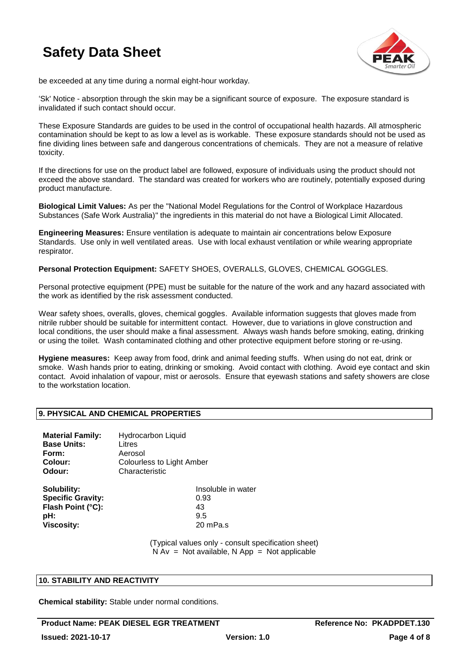

be exceeded at any time during a normal eight-hour workday.

'Sk' Notice - absorption through the skin may be a significant source of exposure. The exposure standard is invalidated if such contact should occur.

These Exposure Standards are guides to be used in the control of occupational health hazards. All atmospheric contamination should be kept to as low a level as is workable. These exposure standards should not be used as fine dividing lines between safe and dangerous concentrations of chemicals. They are not a measure of relative toxicity.

If the directions for use on the product label are followed, exposure of individuals using the product should not exceed the above standard. The standard was created for workers who are routinely, potentially exposed during product manufacture.

**Biological Limit Values:** As per the "National Model Regulations for the Control of Workplace Hazardous Substances (Safe Work Australia)" the ingredients in this material do not have a Biological Limit Allocated.

**Engineering Measures:** Ensure ventilation is adequate to maintain air concentrations below Exposure Standards. Use only in well ventilated areas. Use with local exhaust ventilation or while wearing appropriate respirator.

**Personal Protection Equipment:** SAFETY SHOES, OVERALLS, GLOVES, CHEMICAL GOGGLES.

Personal protective equipment (PPE) must be suitable for the nature of the work and any hazard associated with the work as identified by the risk assessment conducted.

Wear safety shoes, overalls, gloves, chemical goggles. Available information suggests that gloves made from nitrile rubber should be suitable for intermittent contact. However, due to variations in glove construction and local conditions, the user should make a final assessment. Always wash hands before smoking, eating, drinking or using the toilet. Wash contaminated clothing and other protective equipment before storing or re-using.

**Hygiene measures:** Keep away from food, drink and animal feeding stuffs. When using do not eat, drink or smoke. Wash hands prior to eating, drinking or smoking. Avoid contact with clothing. Avoid eye contact and skin contact. Avoid inhalation of vapour, mist or aerosols. Ensure that eyewash stations and safety showers are close to the workstation location.

# **9. PHYSICAL AND CHEMICAL PROPERTIES**

| <b>Material Family:</b><br><b>Base Units:</b> | <b>Hydrocarbon Liquid</b><br>Litres |
|-----------------------------------------------|-------------------------------------|
| Form:                                         | Aerosol                             |
| Colour:                                       | Colourless to Light Amber           |
| Odour:                                        | Characteristic                      |
|                                               | .                                   |

| SOIUDIIItY.              | TNSO |
|--------------------------|------|
| <b>Specific Gravity:</b> | 0.93 |
| Flash Point (°C):        | 43   |
| pH:                      | 9.5  |
| Viscosity:               | 20 n |

**Insoluble in water Viscosity:** 20 mPa.s

(Typical values only - consult specification sheet)  $N Av = Not available, N App = Not applicable$ 

## **10. STABILITY AND REACTIVITY**

**Chemical stability:** Stable under normal conditions.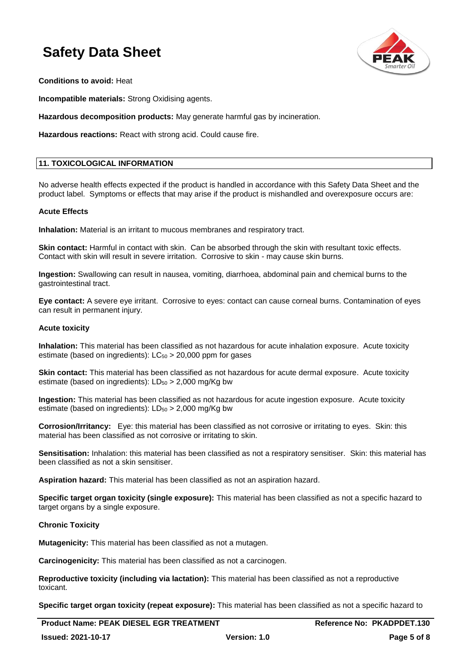

**Conditions to avoid:** Heat

**Incompatible materials:** Strong Oxidising agents.

**Hazardous decomposition products:** May generate harmful gas by incineration.

**Hazardous reactions:** React with strong acid. Could cause fire.

### **11. TOXICOLOGICAL INFORMATION**

No adverse health effects expected if the product is handled in accordance with this Safety Data Sheet and the product label. Symptoms or effects that may arise if the product is mishandled and overexposure occurs are:

### **Acute Effects**

**Inhalation:** Material is an irritant to mucous membranes and respiratory tract.

**Skin contact:** Harmful in contact with skin. Can be absorbed through the skin with resultant toxic effects. Contact with skin will result in severe irritation. Corrosive to skin - may cause skin burns.

**Ingestion:** Swallowing can result in nausea, vomiting, diarrhoea, abdominal pain and chemical burns to the gastrointestinal tract.

**Eye contact:** A severe eye irritant. Corrosive to eyes: contact can cause corneal burns. Contamination of eyes can result in permanent injury.

### **Acute toxicity**

**Inhalation:** This material has been classified as not hazardous for acute inhalation exposure. Acute toxicity estimate (based on ingredients):  $LC_{50} > 20,000$  ppm for gases

**Skin contact:** This material has been classified as not hazardous for acute dermal exposure. Acute toxicity estimate (based on ingredients):  $LD_{50} > 2,000$  mg/Kg bw

**Ingestion:** This material has been classified as not hazardous for acute ingestion exposure. Acute toxicity estimate (based on ingredients):  $LD_{50} > 2,000$  mg/Kg bw

**Corrosion/Irritancy:** Eye: this material has been classified as not corrosive or irritating to eyes. Skin: this material has been classified as not corrosive or irritating to skin.

**Sensitisation:** Inhalation: this material has been classified as not a respiratory sensitiser. Skin: this material has been classified as not a skin sensitiser.

**Aspiration hazard:** This material has been classified as not an aspiration hazard.

**Specific target organ toxicity (single exposure):** This material has been classified as not a specific hazard to target organs by a single exposure.

### **Chronic Toxicity**

**Mutagenicity:** This material has been classified as not a mutagen.

**Carcinogenicity:** This material has been classified as not a carcinogen.

**Reproductive toxicity (including via lactation):** This material has been classified as not a reproductive toxicant.

**Specific target organ toxicity (repeat exposure):** This material has been classified as not a specific hazard to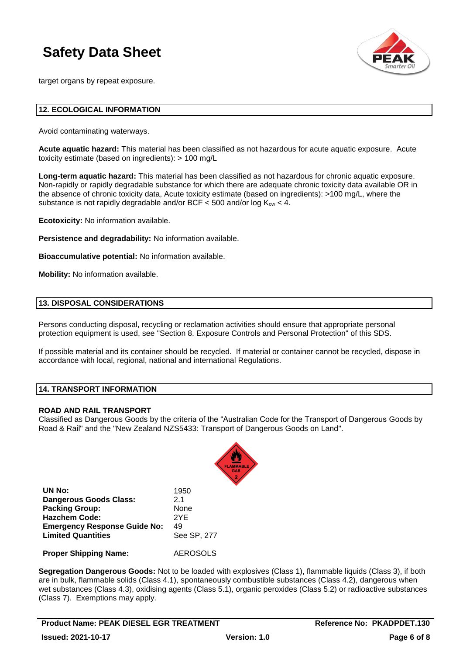

target organs by repeat exposure.

### **12. ECOLOGICAL INFORMATION**

Avoid contaminating waterways.

**Acute aquatic hazard:** This material has been classified as not hazardous for acute aquatic exposure. Acute toxicity estimate (based on ingredients): > 100 mg/L

**Long-term aquatic hazard:** This material has been classified as not hazardous for chronic aquatic exposure. Non-rapidly or rapidly degradable substance for which there are adequate chronic toxicity data available OR in the absence of chronic toxicity data, Acute toxicity estimate (based on ingredients): >100 mg/L, where the substance is not rapidly degradable and/or BCF  $<$  500 and/or log  $K_{ow}$   $<$  4.

**Ecotoxicity:** No information available.

**Persistence and degradability:** No information available.

**Bioaccumulative potential:** No information available.

**Mobility:** No information available.

### **13. DISPOSAL CONSIDERATIONS**

Persons conducting disposal, recycling or reclamation activities should ensure that appropriate personal protection equipment is used, see "Section 8. Exposure Controls and Personal Protection" of this SDS.

If possible material and its container should be recycled. If material or container cannot be recycled, dispose in accordance with local, regional, national and international Regulations.

### **14. TRANSPORT INFORMATION**

### **ROAD AND RAIL TRANSPORT**

Classified as Dangerous Goods by the criteria of the "Australian Code for the Transport of Dangerous Goods by Road & Rail" and the "New Zealand NZS5433: Transport of Dangerous Goods on Land".



| UN No:                              | 1950            |
|-------------------------------------|-----------------|
| <b>Dangerous Goods Class:</b>       | 21              |
| <b>Packing Group:</b>               | None            |
| <b>Hazchem Code:</b>                | 2YF             |
| <b>Emergency Response Guide No:</b> | 49              |
| <b>Limited Quantities</b>           | See SP, 277     |
| <b>Proper Shipping Name:</b>        | <b>AEROSOLS</b> |

**Segregation Dangerous Goods:** Not to be loaded with explosives (Class 1), flammable liquids (Class 3), if both are in bulk, flammable solids (Class 4.1), spontaneously combustible substances (Class 4.2), dangerous when wet substances (Class 4.3), oxidising agents (Class 5.1), organic peroxides (Class 5.2) or radioactive substances (Class 7). Exemptions may apply.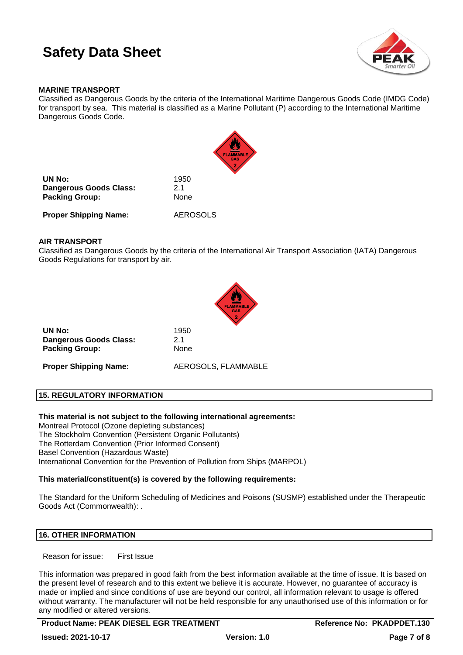

## **MARINE TRANSPORT**

Classified as Dangerous Goods by the criteria of the International Maritime Dangerous Goods Code (IMDG Code) for transport by sea. This material is classified as a Marine Pollutant (P) according to the International Maritime Dangerous Goods Code.



| UN No:                 | 1950 |
|------------------------|------|
| Dangerous Goods Class: | 2.1  |
| <b>Packing Group:</b>  | None |
|                        |      |

**Proper Shipping Name:** AEROSOLS

## **AIR TRANSPORT**

Classified as Dangerous Goods by the criteria of the International Air Transport Association (IATA) Dangerous Goods Regulations for transport by air.



| UN No:                        | 1950 |
|-------------------------------|------|
| <b>Dangerous Goods Class:</b> | 2.1  |
| <b>Packing Group:</b>         | None |

**Proper Shipping Name:** AEROSOLS, FLAMMABLE

# **15. REGULATORY INFORMATION**

**This material is not subject to the following international agreements:**

Montreal Protocol (Ozone depleting substances) The Stockholm Convention (Persistent Organic Pollutants) The Rotterdam Convention (Prior Informed Consent) Basel Convention (Hazardous Waste) International Convention for the Prevention of Pollution from Ships (MARPOL)

**Packing Group:** None

## **This material/constituent(s) is covered by the following requirements:**

The Standard for the Uniform Scheduling of Medicines and Poisons (SUSMP) established under the Therapeutic Goods Act (Commonwealth): .

## **16. OTHER INFORMATION**

Reason for issue: First Issue

This information was prepared in good faith from the best information available at the time of issue. It is based on the present level of research and to this extent we believe it is accurate. However, no guarantee of accuracy is made or implied and since conditions of use are beyond our control, all information relevant to usage is offered without warranty. The manufacturer will not be held responsible for any unauthorised use of this information or for any modified or altered versions.